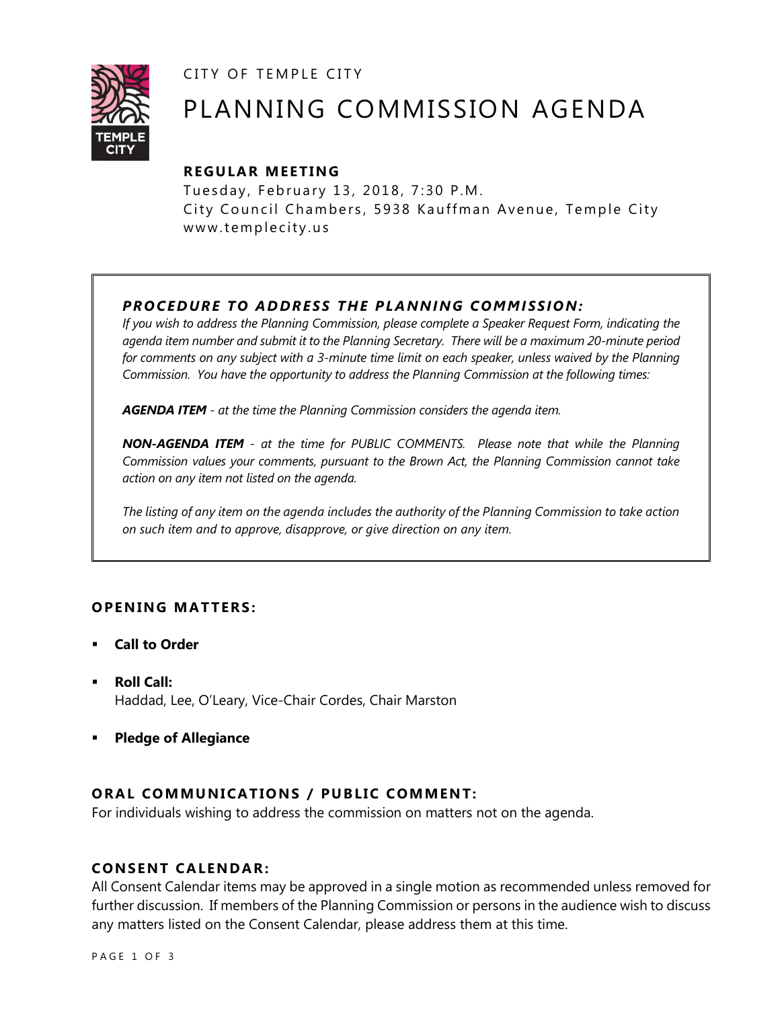CITY OF TEMPLE CITY



# PLANNING COMMISSION AGENDA

## **R EGULA R MEE TING**

Tuesday, February 13, 2018, 7:30 P.M. City Council Chambers, 5938 Kauffman Avenue, Temple City www.templecity.us

## *PRO CE DURE TO ADDRE SS THE P LA NNI NG COMM I SSION:*

*If you wish to address the Planning Commission, please complete a Speaker Request Form, indicating the agenda item number and submit it to the Planning Secretary. There will be a maximum 20-minute period*  for comments on any subject with a 3-minute time limit on each speaker, unless waived by the Planning *Commission. You have the opportunity to address the Planning Commission at the following times:*

*AGENDA ITEM - at the time the Planning Commission considers the agenda item.*

*NON-AGENDA ITEM - at the time for PUBLIC COMMENTS. Please note that while the Planning Commission values your comments, pursuant to the Brown Act, the Planning Commission cannot take action on any item not listed on the agenda.*

*The listing of any item on the agenda includes the authority of the Planning Commission to take action on such item and to approve, disapprove, or give direction on any item.*

## **OPENING MATTERS:**

- **Call to Order**
- **Roll Call:** Haddad, Lee, O'Leary, Vice-Chair Cordes, Chair Marston
- **Pledge of Allegiance**

## **ORAL COMMUNICATIONS / PUBLIC COMMENT:**

For individuals wishing to address the commission on matters not on the agenda.

### **CONSENT CA LENDAR:**

All Consent Calendar items may be approved in a single motion as recommended unless removed for further discussion. If members of the Planning Commission or persons in the audience wish to discuss any matters listed on the Consent Calendar, please address them at this time.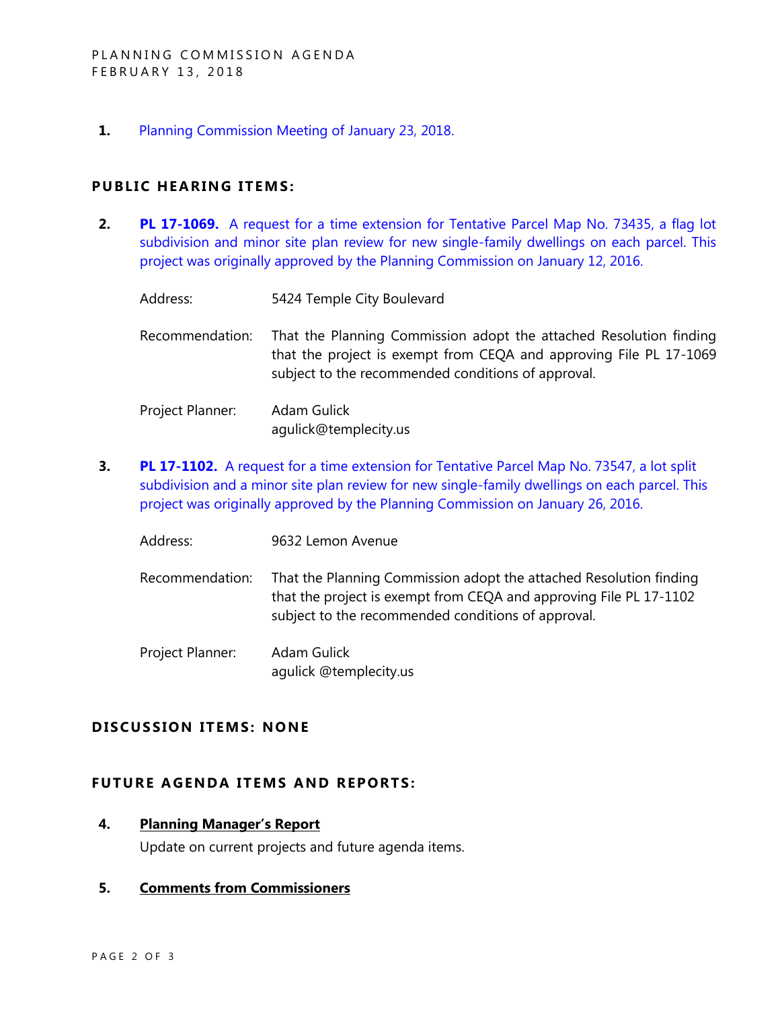**1.** [Planning Commission Meeting of January 23, 2018.](http://www.ci.temple-city.ca.us/DocumentCenter/View/9892)

#### **PUBLIC HEARING ITEMS:**

- **2. PL 17-1069.** [A request for a time extension for Tentative Parcel Map No. 73435, a flag lot](http://www.ci.temple-city.ca.us/DocumentCenter/View/9890)  [subdivision and minor site plan review for new single-family dwellings on each parcel. This](http://www.ci.temple-city.ca.us/DocumentCenter/View/9890)  [project was originally approved by the Planning Commission on January 12, 2016.](http://www.ci.temple-city.ca.us/DocumentCenter/View/9890)
	- Address: 5424 Temple City Boulevard
	- Recommendation: That the Planning Commission adopt the attached Resolution finding that the project is exempt from CEQA and approving File PL 17-1069 subject to the recommended conditions of approval.
	- Project Planner: Adam Gulick agulick@templecity.us
- **3. PL 17-1102.** [A request for a time extension for Tentative Parcel Map No. 73547, a lot split](http://www.ci.temple-city.ca.us/DocumentCenter/View/9891)  [subdivision and a minor site plan review for new single-family dwellings on each parcel. This](http://www.ci.temple-city.ca.us/DocumentCenter/View/9891)  [project was originally approved by the Planning Commission on January 26, 2016.](http://www.ci.temple-city.ca.us/DocumentCenter/View/9891)
	- Address: 9632 Lemon Avenue
	- Recommendation: That the Planning Commission adopt the attached Resolution finding that the project is exempt from CEQA and approving File PL 17-1102 subject to the recommended conditions of approval.

Project Planner: Adam Gulick agulick @templecity.us

#### **D ISCUSSION ITEMS: NONE**

#### **FUTURE AGENDA ITEMS AND REPORTS:**

#### **4. Planning Manager's Report**

Update on current projects and future agenda items.

#### **5. Comments from Commissioners**